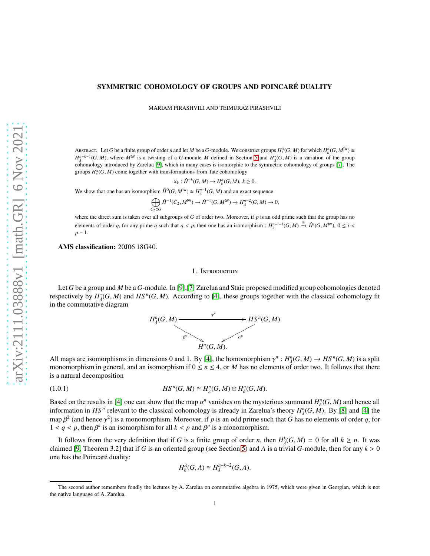## SYMMETRIC COHOMOLOGY OF GROUPS AND POINCARÉ DUALITY

MARIAM PIRASHVILI AND TEIMURAZ PIRASHVILI

ABSTRACT. Let *G* be a finite group of order *n* and let *M* be a *G*-module. We construct groups  $H_*^{\times}(G, M)$  for which  $H_k^{\times}(G, M^{\text{tw}}) \cong$  $H_{\lambda}^{n-k-1}(G, M)$ , where  $M^{\text{tw}}$  is a twisting of a *G*-module *M* defined in Section [5](#page-7-0) and  $H_{\lambda}^{*}(G, M)$  is a variation of the group cohomology introduced by Zarelua [\[9\]](#page-11-0), which in many cases is isomorphic to the symmetric cohomology of groups [\[7\]](#page-11-1). The groups  $H_*^{\chi}(G, M)$  come together with transformations from Tate cohomology

$$
\varkappa_k : \hat{H}^{-k}(G, M) \to H_k^{\varkappa}(G, M), k \ge 0.
$$

We show that one has an isomorphism  $\hat{H}^0(G, M^W) \cong H^{n-1}_{\lambda}(G, M)$  and an exact sequence

$$
\bigoplus_{C_2 \subset G} \hat{H}^{-1}(C_2, M^{\mathsf{Iw}}) \to \hat{H}^{-1}(G, M^{\mathsf{Iw}}) \to H^{n-2}_{\lambda}(G, M) \to 0,
$$

where the direct sum is taken over all subgroups of *G* of order two. Moreover, if *p* is an odd prime such that the group has no elements of order *q*, for any prime *q* such that  $q < p$ , then one has an isomorphism :  $H_{\lambda}^{n-i-1}(G, M) \stackrel{\cong}{\rightarrow} \hat{H}^i(G, M^{\mathbb{W}})$ ,  $0 \leq i <$ *p* − 1.

AMS classification: 20J06 18G40.

#### 1. Introduction

Let *G* be a group and *M* be a *G*-module. In [\[9\]](#page-11-0),[\[7\]](#page-11-1) Zarelua and Staic proposed modified group cohomologies denoted respectively by  $H^*_\lambda(G, M)$  and  $HS^n(G, M)$ . According to [\[4\]](#page-11-2), these groups together with the classical cohomology fit in the commutative diagram



All maps are isomorphisms in dimensions 0 and 1. By [\[4\]](#page-11-2), the homomorphism  $\gamma^n : H^n_\lambda(G, M) \to HS^n(G, M)$  is a split monomorphism in general, and an isomorphism if  $0 \le n \le 4$ , or *M* has no elements of order two. It follows that there is a natural decomposition

(1.0.1) *HS <sup>n</sup>* (*G*, *M*) *H n* λ (*G*, *M*) ⊕ *H n* δ (*G*, *M*).

Based on the results in [\[4\]](#page-11-2) one can show that the map  $\alpha^n$  vanishes on the mysterious summand  $H^n_\delta(G, M)$  and hence all information in  $HS^n$  relevant to the classical cohomology is already in Zarelua's theory  $H^n_\lambda(G, M)$ . By [\[8\]](#page-11-3) and [\[4\]](#page-11-2) the map  $\beta^2$  (and hence  $\gamma^2$ ) is a monomorphism. Moreover, if p is an odd prime such that G has no elements of order q, for  $1 < q < p$ , then  $\beta^k$  is an isomorphism for all  $k < p$  and  $\beta^p$  is a monomorphism.

It follows from the very definition that if *G* is a finite group of order *n*, then  $H^k_\lambda(G, M) = 0$  for all  $k \ge n$ . It was claimed [\[9,](#page-11-0) Theorem 3.2] that if *G* is an oriented group (see Section [5\)](#page-7-0) and *A* is a trivial *G*-module, then for any  $k > 0$ one has the Poincaré duality:

$$
H_k^{\lambda}(G, A) \cong H_{\lambda}^{n-k-2}(G, A).
$$

The second author remembers fondly the lectures by A. Zarelua on commutative algebra in 1975, which were given in Georgian, which is not the native language of A. Zarelua.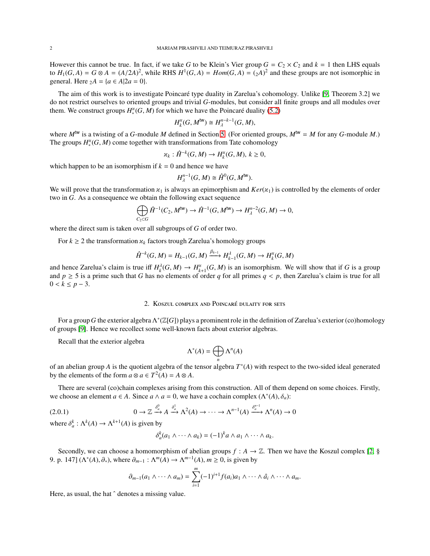However this cannot be true. In fact, if we take *G* to be Klein's Vier group  $G = C_2 \times C_2$  and  $k = 1$  then LHS equals to  $H_1(G, A) = G \otimes A = (A/2A)^2$ , while RHS  $H^1(G, A) = Hom(G, A) = (2A)^2$  and these groups are not isomorphic in general. Here  $_2A = \{a \in A | 2a = 0\}.$ 

The aim of this work is to investigate Poincaré type duality in Zarelua's cohomology. Unlike [\[9,](#page-11-0) Theorem 3.2] we do not restrict ourselves to oriented groups and trivial *G*-modules, but consider all finite groups and all modules over them. We construct groups  $H_*^{\times}(G, M)$  for which we have the Poincaré duality [\(5.2\)](#page-8-0)

$$
H_k^{\mathcal{H}}(G,M^{\text{tw}})\cong H^{n-k-1}_\lambda(G,M),
$$

where  $M^{\text{tw}}$  is a twisting of a *G*-module *M* defined in Section [5.](#page-7-0) (For oriented groups,  $M^{\text{tw}} = M$  for any *G*-module *M*.) The groups  $H_*^*(G, M)$  come together with transformations from Tate cohomology

$$
\varkappa_k:\hat{H}^{-k}(G,M)\to H_k^\varkappa(G,M),\,k\geq 0,
$$

which happen to be an isomorphism if  $k = 0$  and hence we have

$$
H^{n-1}_{\lambda}(G,M) \cong \hat{H}^0(G,M^{\text{tw}}).
$$

We will prove that the transformation  $x_1$  is always an epimorphism and  $Ker(x_1)$  is controlled by the elements of order two in *G*. As a consequence we obtain the following exact sequence

$$
\bigoplus_{C_2 \subset G} \hat{H}^{-1}(C_2, M^{\mathsf{tw}}) \to \hat{H}^{-1}(G, M^{\mathsf{tw}}) \to H^{n-2}_\lambda(G, M) \to 0,
$$

where the direct sum is taken over all subgroups of *G* of order two.

For  $k \geq 2$  the transformation  $x_k$  factors trough Zarelua's homology groups

$$
\hat{H}^{-k}(G,M) = H_{k-1}(G,M) \xrightarrow{\beta_{k-1}} H_{k-1}^{\lambda}(G,M) \to H_k^{\lambda}(G,M)
$$

<span id="page-1-0"></span>and hence Zarelua's claim is true iff  $H_k^{\lambda}(G, M) \to H_{k+1}^{\lambda}(G, M)$  is an isomorphism. We will show that if *G* is a group and  $p \ge 5$  is a prime such that *G* has no elements of order *q* for all primes  $q < p$ , then Zarelua's claim is true for all 0 <  $k$  ≤  $p$  − 3.

### 2. KOSZUL COMPLEX AND POINCARÉ DULAITY FOR SETS

For a group*G* the exterior algebra Λ ∗ (Z[*G*]) plays a prominent role in the definition of Zarelua's exterior (co)homology of groups [\[9\]](#page-11-0). Hence we recollect some well-known facts about exterior algebras.

Recall that the exterior algebra

$$
\Lambda^*(A) = \bigoplus_n \Lambda^n(A)
$$

of an abelian group *A* is the quotient algebra of the tensor algebra *T* ∗ (*A*) with respect to the two-sided ideal generated by the elements of the form  $a \otimes a \in T^2(A) = A \otimes A$ .

There are several (co)chain complexes arising from this construction. All of them depend on some choices. Firstly, we choose an element  $a \in A$ . Since  $a \wedge a = 0$ , we have a cochain complex  $(\Lambda^*(A), \delta_a)$ :

$$
(2.0.1) \t\t 0 \to \mathbb{Z} \xrightarrow{\delta_a^0} A \xrightarrow{\delta_a^1} \Lambda^2(A) \to \cdots \to \Lambda^{n-1}(A) \xrightarrow{\delta_a^{n-1}} \Lambda^n(A) \to 0
$$

where  $\delta_a^k : \Lambda^k(A) \to \Lambda^{k+1}(A)$  is given by

$$
\delta_a^k(a_1 \wedge \cdots \wedge a_k) = (-1)^k a \wedge a_1 \wedge \cdots \wedge a_k.
$$

Secondly, we can choose a homomorphism of abelian groups  $f : A \to \mathbb{Z}$ . Then we have the Koszul complex [\[2,](#page-11-4) § 9. p. 147] ( $\Lambda^*(A), \partial_*$ ), where  $\partial_{m-1} : \Lambda^m(A) \to \Lambda^{m-1}(A), m \ge 0$ , is given by

$$
\partial_{m-1}(a_1 \wedge \cdots \wedge a_m) = \sum_{i=1}^m (-1)^{i+1} f(a_i) a_1 \wedge \cdots \wedge \hat{a}_i \wedge \cdots \wedge a_m.
$$

Here, as usual, the hat ^ denotes a missing value.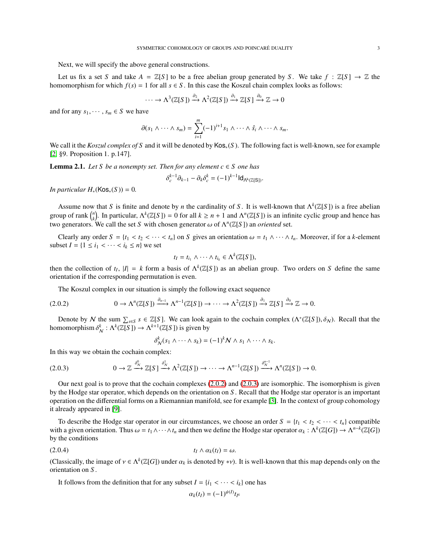Next, we will specify the above general constructions.

Let us fix a set *S* and take  $A = \mathbb{Z}[S]$  to be a free abelian group generated by *S*. We take  $f : \mathbb{Z}[S] \to \mathbb{Z}$  the homomorphism for which  $f(s) = 1$  for all  $s \in S$ . In this case the Koszul chain complex looks as follows:

$$
\cdots \to \Lambda^3(\mathbb{Z}[S]) \xrightarrow{\partial_2} \Lambda^2(\mathbb{Z}[S]) \xrightarrow{\partial_1} \mathbb{Z}[S] \xrightarrow{\partial_0} \mathbb{Z} \to 0
$$

and for any  $s_1, \dots, s_m \in S$  we have

$$
\partial(s_1 \wedge \cdots \wedge s_m) = \sum_{i=1}^m (-1)^{i+1} s_1 \wedge \cdots \wedge \hat{s_i} \wedge \cdots \wedge s_m.
$$

We call it the *Koszul complex of S* and it will be denoted by Kos∗(*S* ). The following fact is well-known, see for example [\[2,](#page-11-4) §9. Proposition 1. p.147].

<span id="page-2-2"></span>**Lemma 2.1.** *Let S be a nonempty set. Then for any element*  $c \in S$  *one has* 

$$
\delta_c^{k-1} \partial_{k-1} - \partial_k \delta_c^k = (-1)^{k-1} \mathsf{Id}_{\Lambda^k(\mathbb{Z}[S])}.
$$

*In particular*  $H_*(\text{Kos}_*(S)) = 0$ .

Assume now that *S* is finite and denote by *n* the cardinality of *S*. It is well-known that  $\Lambda^k(\mathbb{Z}[S])$  is a free abelian group of rank  $\binom{n}{k}$ . In particular,  $\Lambda^k(\mathbb{Z}[S]) = 0$  for all  $k \ge n + 1$  and  $\Lambda^n(\mathbb{Z}[S])$  is an infinite cyclic group and hence has two generators. We call the set *S* with chosen generator  $\omega$  of  $\Lambda^n(\mathbb{Z}[S])$  an *oriented* set.

Clearly any order  $S = \{t_1 < t_2 < \cdots < t_n\}$  on  $S$  gives an orientation  $\omega = t_1 \wedge \cdots \wedge t_n$ . Moreover, if for a *k*-element subset  $I = \{1 \le i_1 < \cdots < i_k \le n\}$  we set

$$
t_I = t_{i_1} \wedge \cdots \wedge t_{i_k} \in \Lambda^k(\mathbb{Z}[S]),
$$

then the collection of  $t_I$ ,  $|I| = k$  form a basis of  $\Lambda^k(\mathbb{Z}[S])$  as an abelian group. Two orders on *S* define the same orientation if the corresponding permutation is even.

The Koszul complex in our situation is simply the following exact sequence

$$
(2.0.2) \t\t 0 \to \Lambda^n(\mathbb{Z}[S]) \xrightarrow{\partial_{n-1}} \Lambda^{n-1}(\mathbb{Z}[S]) \to \cdots \to \Lambda^2(\mathbb{Z}[S]) \xrightarrow{\partial_1} \mathbb{Z}[S] \xrightarrow{\partial_0} \mathbb{Z} \to 0.
$$

Denote by N the sum  $\sum_{s \in S} s \in \mathbb{Z}[S]$ . We can look again to the cochain complex  $(\Lambda^*(\mathbb{Z}[S]), \delta_N)$ . Recall that the homomorphism  $\delta_N^k : \Lambda^k(\mathbb{Z}[S]) \to \Lambda^{k+1}(\mathbb{Z}[S])$  is given by

<span id="page-2-1"></span><span id="page-2-0"></span>
$$
\delta^k_N(s_1 \wedge \cdots \wedge s_k) = (-1)^k N \wedge s_1 \wedge \cdots \wedge s_k.
$$

In this way we obtain the cochain complex:

$$
(2.0.3) \t 0 \to \mathbb{Z} \xrightarrow{\delta_N^0} \mathbb{Z}[S] \xrightarrow{\delta_N^1} \Lambda^2(\mathbb{Z}[S]) \to \cdots \to \Lambda^{n-1}(\mathbb{Z}[S]) \xrightarrow{\delta_N^{n-1}} \Lambda^n(\mathbb{Z}[S]) \to 0.
$$

Our next goal is to prove that the cochain complexes  $(2.0.2)$  and  $(2.0.3)$  are isomorphic. The isomorphism is given by the Hodge star operator, which depends on the orientation on *S* . Recall that the Hodge star operator is an important operation on the differential forms on a Riemannian manifold, see for example [\[3\]](#page-11-5). In the context of group cohomology it already appeared in [\[9\]](#page-11-0).

To describe the Hodge star operator in our circumstances, we choose an order  $S = \{t_1 \le t_2 \le \cdots \le t_n\}$  compatible with a given orientation. Thus  $\omega = t_1 \wedge \cdots \wedge t_n$  and then we define the Hodge star operator  $\alpha_k : \Lambda^k(\mathbb{Z}[G]) \to \Lambda^{n-k}(\mathbb{Z}[G])$ by the conditions

$$
(2.0.4) \t\t t_I \wedge \alpha_k(t_I) = \omega.
$$

(Classically, the image of  $v \in \Lambda^k(\mathbb{Z}[G])$  under  $\alpha_k$  is denoted by  $*\nu$ ). It is well-known that this map depends only on the orientation on *S* .

It follows from the definition that for any subset  $I = \{i_1 < \cdots < i_k\}$  one has

$$
\alpha_k(t_I) = (-1)^{\psi(I)} t_{I^c}
$$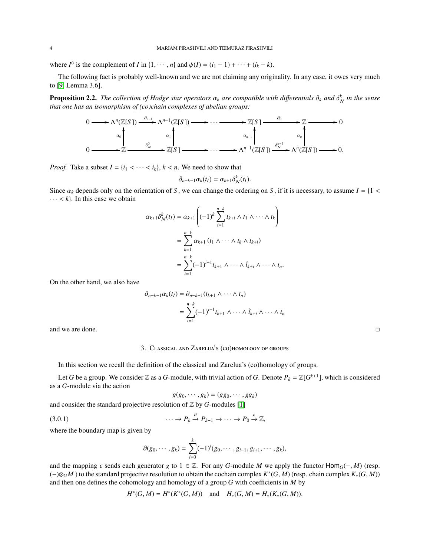where *I*<sup>c</sup> is the complement of *I* in {1,  $\cdots$  , *n*} and  $\psi(I) = (i_1 - 1) + \cdots + (i_k - k)$ .

The following fact is probably well-known and we are not claiming any originality. In any case, it owes very much to [\[9,](#page-11-0) Lemma 3.6].

<span id="page-3-0"></span>Proposition 2.2. *The collection of Hodge star operators* α*<sup>k</sup> are compatible with di*ff*erentials* ∂*<sup>k</sup> and* δ *k* N *in the sense that one has an isomorphism of (co)chain complexes of abelian groups:*



*Proof.* Take a subset  $I = \{i_1 < \cdots < i_k\}, k < n$ . We need to show that

$$
\partial_{n-k-1}\alpha_k(t_I)=\alpha_{k+1}\delta_{\mathcal{N}}^k(t_I).
$$

Since  $\alpha_k$  depends only on the orientation of *S*, we can change the ordering on *S*, if it is necessary, to assume  $I = \{1 \leq k \leq n\}$  $\cdots < k$ . In this case we obtain

$$
\alpha_{k+1}\delta_N^k(t_I) = \alpha_{k+1}\left((-1)^k \sum_{i=1}^{n-k} t_{k+i} \wedge t_1 \wedge \cdots \wedge t_k\right)
$$
  
= 
$$
\sum_{k=1}^{n-k} \alpha_{k+1} (t_1 \wedge \cdots \wedge t_k \wedge t_{k+i})
$$
  
= 
$$
\sum_{i=1}^{n-k} (-1)^{i-1} t_{k+1} \wedge \cdots \wedge \hat{t}_{k+i} \wedge \cdots \wedge t_n.
$$

On the other hand, we also have

$$
\partial_{n-k-1} \alpha_k(t_I) = \partial_{n-k-1} (t_{k+1} \wedge \cdots \wedge t_n)
$$
  
= 
$$
\sum_{i=1}^{n-k} (-1)^{i-1} t_{k+1} \wedge \cdots \wedge \hat{t}_{k+i} \wedge \cdots \wedge t_n
$$

and we are done.

### 3. Classical and Zarelua's (co)homology of groups

In this section we recall the definition of the classical and Zarelua's (co)homology of groups.

Let *G* be a group. We consider  $\mathbb Z$  as a *G*-module, with trivial action of *G*. Denote  $P_k = \mathbb Z[G^{k+1}]$ , which is considered as a *G*-module via the action

$$
g(g_0,\cdots,g_k)=(gg_0,\cdots,gg_k)
$$

and consider the standard projective resolution of  $Z$  by  $G$ -modules [\[1\]](#page-11-6)

$$
(3.0.1) \qquad \qquad \cdots \to P_k \xrightarrow{\partial} P_{k-1} \to \cdots \to P_0 \xrightarrow{\epsilon} \mathbb{Z},
$$

where the boundary map is given by

$$
\partial(g_0, \cdots, g_k) = \sum_{i=0}^k (-1)^i (g_0, \cdots, g_{i-1}, g_{i+1}, \cdots, g_k),
$$

and the mapping  $\epsilon$  sends each generator *g* to 1 ∈ Z. For any *G*-module *M* we apply the functor Hom<sub>*G*</sub>(−, *M*) (resp. (−)⊗*GM* ) to the standard projective resolution to obtain the cochain complex *K* ∗ (*G*, *M*) (resp. chain complex *K*∗(*G*, *M*)) and then one defines the cohomology and homology of a group *G* with coefficients in *M* by

$$
H^*(G, M) = H^*(K^*(G, M))
$$
 and  $H_*(G, M) = H_*(K_*(G, M)).$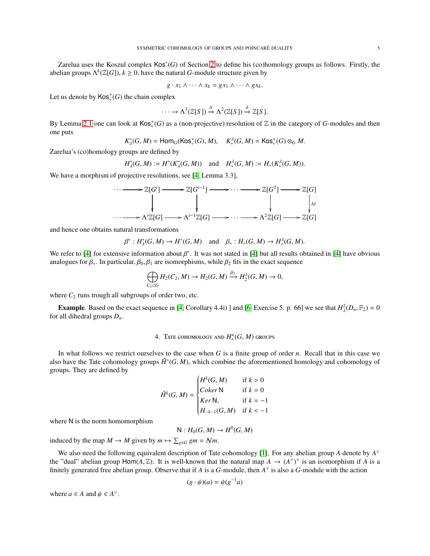Zarelua uses the Koszul complex Kos<sup>∗</sup> (*G*) of Section [2](#page-1-0) to define his (co)homology groups as follows. Firstly, the abelian groups  $\Lambda^k(\mathbb{Z}[G]), k \geq 0$ , have the natural *G*-module structure given by

$$
g \cdot x_1 \wedge \cdots \wedge x_k = gx_1 \wedge \cdots \wedge gx_k.
$$

Let us denote by  $\mathsf{Kos}^+_*(G)$  the chain complex

$$
\cdots \to \Lambda^3(\mathbb{Z}[S]) \xrightarrow{\partial} \Lambda^2(\mathbb{Z}[S]) \xrightarrow{\partial} \mathbb{Z}[S].
$$

By Lemma [2.1](#page-2-2) one can look at  $\text{Kos}_*^+(G)$  as a (non-projective) resolution of  $\mathbb Z$  in the category of *G*-modules and then one puts

$$
K^*_\lambda(G, M) = \text{Hom}_G(\text{Kos}^+_*(G), M), \quad K^{\lambda}_*(G, M) = \text{Kos}^+_*(G) \otimes_G M.
$$

Zarelua's (co)homology groups are defined by

$$
H_A^*(G,M) := H^*(K_A^*(G,M)) \text{ and } H_*^{\lambda}(G,M) := H_*(K_*^{\lambda}(G,M)).
$$

We have a morphism of projective resolutions, see [\[4,](#page-11-2) Lemma 3.3],



and hence one obtains natural transformations

$$
\beta^*: H_\lambda^*(G,M) \to H^*(G,M) \quad \text{and} \quad \beta_*: H_*(G,M) \to H_*^\lambda(G,M).
$$

We refer to [\[4\]](#page-11-2) for extensive information about  $\beta^*$ . It was not stated in [\[4\]](#page-11-2) but all results obtained in [4] have obvious analogues for  $\beta_*$ . In particular,  $\beta_0$ ,  $\beta_1$  are isomorphisms, while  $\beta_2$  fits in the exact sequence

$$
\bigoplus_{C_2 \subset G} H_2(C_2, M) \to H_2(G, M) \xrightarrow{\beta_2} H_2^{\lambda}(G, M) \to 0,
$$

where  $C_2$  runs trough all subgroups of order two, etc.

**Example.** Based on the exact sequence in [\[4,](#page-11-2) Corollary 4.4i) ] and [\[6,](#page-11-7) Exercise 5. p. 66] we see that  $H^2(\mathcal{D}_n, \mathbb{F}_2) = 0$ for all dihedral groups *Dn*.

# 4. Tate cohomology and  $H_*^{\varkappa}(G,M)$  groups

In what follows we restrict ourselves to the case when *G* is a finite group of order *n*. Recall that in this case we also have the Tate cohomology groups  $\hat{H}$ <sup>∗</sup>(*G*, *M*), which combine the aforementioned homology and cohomology of groups. They are defined by

$$
\hat{H}^k(G, M) = \begin{cases} H^k(G, M) & \text{if } k > 0 \\ Coker \mathsf{N} & \text{if } k = 0 \\ Ker \mathsf{N}, & \text{if } k = -1 \\ H_{-k-1}(G, M) & \text{if } k < -1 \end{cases}
$$

where N is the norm homomorphism

 $N: H_0(G, M) \to H^0(G, M)$ 

induced by the map  $M \to M$  given by  $m \mapsto \sum_{g \in G} gm = Nm$ .

We also need the following equivalent description of Tate cohomology [\[1\]](#page-11-6). For any abelian group *A* denote by *A* ∨ the "dual" abelian group Hom(*A*,  $\mathbb{Z}$ ). It is well-known that the natural map  $A \to (A^{\vee})^{\vee}$  is an isomorphism if *A* is a finitely generated free abelian group. Observe that if *A* is a *G*-module, then  $A^{\vee}$  is also a *G*-module with the action

$$
(g \cdot \psi)(a) = \psi(g^{-1}a)
$$

where  $a \in A$  and  $\psi \in A^{\vee}$ .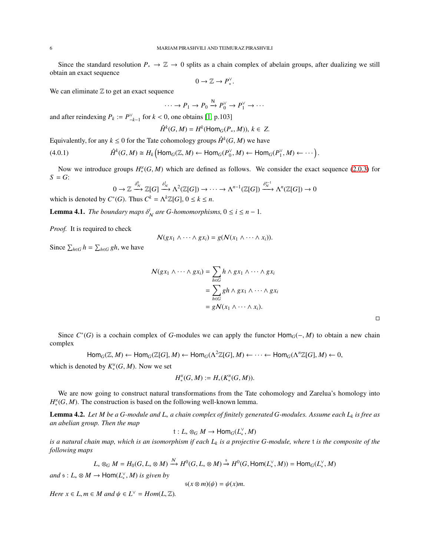Since the standard resolution *P*<sup>∗</sup> → Z → 0 splits as a chain complex of abelain groups, after dualizing we still obtain an exact sequence

$$
0\to \mathbb{Z}\to P_*^\vee.
$$

We can eliminate  $Z$  to get an exact sequence

$$
\cdots \to P_1 \to P_0 \xrightarrow{\mathsf{N}} P_0^{\vee} \to P_1^{\vee} \to \cdots
$$

and after reindexing  $P_k := P_{-k-1}^{\vee}$  for  $k < 0$ , one obtains [\[1,](#page-11-6) p.103]

$$
\hat{H}^k(G, M) = H^k(\text{Hom}_G(P_*, M)), k \in Z.
$$

Equivalently, for any  $k \leq 0$  for the Tate cohomology groups  $\hat{H}^k(G, M)$  we have

(4.0.1) *H*ˆ *k* (*G*, *M*) *H<sup>k</sup>* Hom*G*(Z, *M*) ← Hom*G*(*P* ∨ 0 , *M*) ← Hom*G*(*P* ∨ 1 , *M*) ← · · · .

Now we introduce groups  $H_*^*(G, M)$  which are defined as follows. We consider the exact sequence [\(2.0.3\)](#page-2-1) for  $S = G$ :

$$
0 \to \mathbb{Z} \xrightarrow{\delta_N^0} \mathbb{Z}[G] \xrightarrow{\delta_N^1} \Lambda^2(\mathbb{Z}[G]) \to \cdots \to \Lambda^{n-1}(\mathbb{Z}[G]) \xrightarrow{\delta_N^{n-1}} \Lambda^n(\mathbb{Z}[G]) \to 0
$$
  
\*(C) Thus  $C^k = \Lambda^{k}Z[G] \xrightarrow{0} \Lambda^2(\mathbb{Z}[G]) \to \Lambda^{n-1}(\mathbb{Z}[G]) \to 0$ 

which is denoted by  $C^*(G)$ . Thus  $C^k = \Lambda^k \mathbb{Z}[G]$ ,  $0 \le k \le n$ .

**Lemma 4.1.** *The boundary maps*  $\delta_N^i$  *are G-homomorphisms*,  $0 \le i \le n - 1$ *.* 

*Proof.* It is required to check

$$
\mathcal{N}(gx_1 \wedge \cdots \wedge gx_i) = g(\mathcal{N}(x_1 \wedge \cdots \wedge x_i)).
$$

Since  $\sum_{h \in G} h = \sum_{h \in G} gh$ , we have

$$
\mathcal{N}(gx_1 \wedge \cdots \wedge gx_i) = \sum_{h \in G} h \wedge gx_1 \wedge \cdots \wedge gx_i
$$
  
= 
$$
\sum_{h \in G} gh \wedge gx_1 \wedge \cdots \wedge gx_i
$$
  
= 
$$
g\mathcal{N}(x_1 \wedge \cdots \wedge x_i).
$$

Since  $C^*(G)$  is a cochain complex of *G*-modules we can apply the functor  $\text{Hom}_G(-, M)$  to obtain a new chain complex

$$
Hom_G(\mathbb{Z}, M) \leftarrow Hom_G(\mathbb{Z}[G], M) \leftarrow Hom_G(\Lambda^2 \mathbb{Z}[G], M) \leftarrow \cdots \leftarrow Hom_G(\Lambda^n \mathbb{Z}[G], M) \leftarrow 0,
$$

which is denoted by  $K_*^*(G, M)$ . Now we set

$$
H_*^{\times}(G,M):=H_*(K_*^{\times}(G,M)).
$$

We are now going to construct natural transformations from the Tate cohomology and Zarelua's homology into  $H_*^{\times}(G, M)$ . The construction is based on the following well-known lemma.

<span id="page-5-0"></span>Lemma 4.2. *Let M be a G-module and L*<sup>∗</sup> *a chain complex of finitely generated G-modules. Assume each L<sup>k</sup> is free as an abelian group. Then the map*

 $t: L_* \otimes_G M \to \text{Hom}_G(L_*^{\vee}, M)$ 

*is a natural chain map, which is an isomorphism if each L<sup>k</sup> is a projective G-module, where* t *is the composite of the following maps*

$$
L_* \otimes_G M = H_0(G, L_* \otimes M) \xrightarrow{N} H^0(G, L_* \otimes M) \xrightarrow{s} H^0(G, \text{Hom}(L_*^\vee, M)) = \text{Hom}_G(L_*^\vee, M)
$$

 $and \ s: L_* \otimes M \to \text{Hom}(L_*^{\vee}, M) \text{ is given by}$ 

$$
s(x\otimes m)(\psi)=\psi(x)m.
$$

*Here*  $x \in L$ ,  $m \in M$  and  $\psi \in L^{\vee} = Hom(L, \mathbb{Z})$ .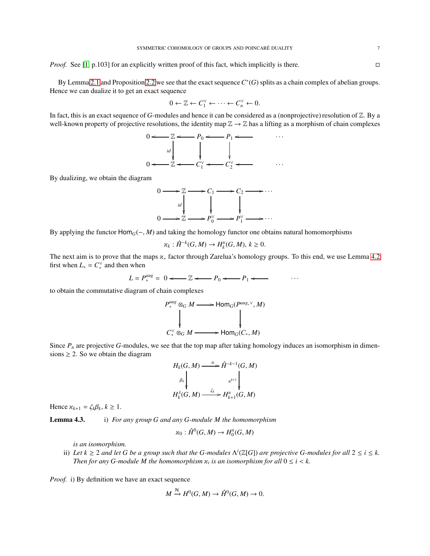*Proof.* See [\[1,](#page-11-6) p.103] for an explicitly written proof of this fact, which implicitly is there. □

By Lemma [2.1](#page-2-2) and Proposition [2.2](#page-3-0) we see that the exact sequence  $C^*(G)$  splits as a chain complex of abelian groups. Hence we can dualize it to get an exact sequence

$$
0 \leftarrow \mathbb{Z} \leftarrow C_1^{\vee} \leftarrow \cdots \leftarrow C_n^{\vee} \leftarrow 0.
$$

In fact, this is an exact sequence of *G*-modules and hence it can be considered as a (nonprojective) resolution of  $Z$ . By a well-known property of projective resolutions, the identity map  $\mathbb{Z} \to \mathbb{Z}$  has a lifting as a morphism of chain complexes



By dualizing, we obtain the diagram



By applying the functor Hom*G*(−, *M*) and taking the homology functor one obtains natural homomorphisms

$$
\varkappa_k: \hat{H}^{-k}(G,M) \to H_k^{\varkappa}(G,M), k \ge 0.
$$

The next aim is to prove that the maps κ<sup>∗</sup> factor through Zarelua's homology groups. To this end, we use Lemma [4.2](#page-5-0) first when  $L_* = C_*^{\vee}$  and then when

$$
L = P_*^{aug} = 0 \longleftarrow \mathbb{Z} \longleftarrow P_0 \longleftarrow P_1 \longleftarrow \cdots
$$

to obtain the commutative diagram of chain complexes

$$
P_*^{aug} \otimes_G M \longrightarrow \text{Hom}_G(P^{aug,*}, M)
$$
\n
$$
\downarrow \qquad \qquad \downarrow
$$
\n
$$
C_*^{\vee} \otimes_G M \longrightarrow \text{Hom}_G(C_*, M)
$$

Since  $P_n$  are projective *G*-modules, we see that the top map after taking homology induces an isomorphism in dimensions  $\geq 2$ . So we obtain the diagram

$$
H_k(G, M) \xrightarrow{\cong} \hat{H}^{-k-1}(G, M)
$$
  
\n
$$
\beta_k \downarrow \qquad \qquad \downarrow \qquad \downarrow
$$
  
\n
$$
H_k^{\lambda}(G, M) \xrightarrow{\zeta_k} H_{k+1}^{\times}(G, M)
$$

Hence  $\varkappa_{k+1} = \zeta_k \beta_k, k \geq 1$ .

Lemma 4.3. i) *For any group G and any G-module M the homomorphism*

$$
\varkappa_0: \hat{H}^0(G,M) \to H_0^{\varkappa}(G,M)
$$

*is an isomorphism.*

ii) Let  $k \geq 2$  and let G be a group such that the G-modules  $\Lambda^i(\mathbb{Z}[G])$  are projective G-modules for all  $2 \leq i \leq k$ . *Then for any G-module M the homomorphism*  $\varkappa_i$  *is an isomorphism for all*  $0 \le i < k$ .

*Proof.* i) By definition we have an exact sequence

$$
M \xrightarrow{N} H^0(G, M) \to \hat{H}^0(G, M) \to 0.
$$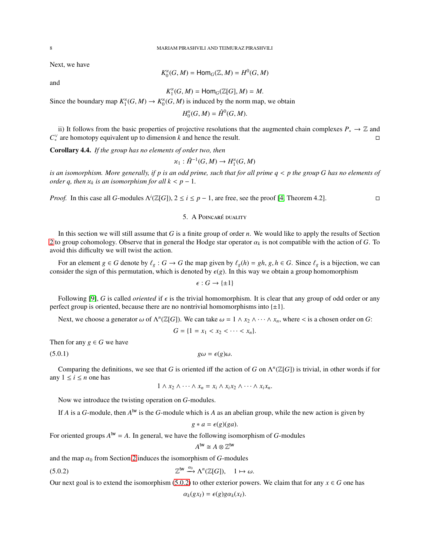Next, we have

$$
K_0^{\varkappa}(G,M)=\mathsf{Hom}_G(\mathbb{Z},M)=H^0(G,M)
$$

and

*K* κ  $\binom{\mathcal{H}}{1}(G, M) = \text{Hom}_G(\mathbb{Z}[G], M) = M.$ 

Since the boundary map  $K_1^{\times}$  $K_1^{\times}(G, M) \to K_0^{\times}$  $\chi_0^*(G, M)$  is induced by the norm map, we obtain

> *H* κ  ${}_{0}^{\alpha}(G, M) = \hat{H}^{0}(G, M).$

ii) It follows from the basic properties of projective resolutions that the augmented chain complexes  $P_* \to \mathbb{Z}$  and  $C_*^{\vee}$  are homotopy equivalent up to dimension *k* and hence the result.

<span id="page-7-3"></span>Corollary 4.4. *If the group has no elements of order two, then*

$$
\varkappa_1:\hat{H}^{-1}(G,M)\to H_1^\varkappa(G,M)
$$

*is an isomorphism. More generally, if p is an odd prime, such that for all prime q* < *p the group G has no elements of order q, then*  $x_k$  *is an isomorphism for all*  $k < p - 1$ *.* 

<span id="page-7-0"></span>*Proof.* In this case all *G*-modules  $\Lambda^{i}(\mathbb{Z}[G])$ ,  $2 \le i \le p - 1$ , are free, see the proof [\[4,](#page-11-2) Theorem 4.2].

## 5. A POINCARÉ DUALITY

In this section we will still assume that *G* is a finite group of order *n*. We would like to apply the results of Section [2](#page-1-0) to group cohomology. Observe that in general the Hodge star operator  $\alpha_k$  is not compatible with the action of *G*. To avoid this difficulty we will twist the action.

For an element  $g \in G$  denote by  $\ell_g : G \to G$  the map given by  $\ell_g(h) = gh$ ,  $g, h \in G$ . Since  $\ell_g$  is a bijection, we can consider the sign of this permutation, which is denoted by  $\epsilon(g)$ . In this way we obtain a group homomorphism

$$
\epsilon:G\to\{\pm 1\}
$$

Following [\[9\]](#page-11-0), *G* is called *oriented* if  $\epsilon$  is the trivial homomorphism. It is clear that any group of odd order or any perfect group is oriented, because there are no nontrivial homomorphisms into  $\{\pm 1\}$ .

Next, we choose a generator  $\omega$  of  $\Lambda^n(\mathbb{Z}[G])$ . We can take  $\omega = 1 \wedge x_2 \wedge \cdots \wedge x_n$ , where  $\lt$  is a chosen order on *G*:

<span id="page-7-2"></span>
$$
G = \{1 = x_1 < x_2 < \cdots < x_n\}.
$$

Then for any  $g \in G$  we have

(5.0.1)  $g\omega = \epsilon(g)\omega$ .

Comparing the definitions, we see that *G* is oriented iff the action of *G* on  $\Lambda^n(\mathbb{Z}[G])$  is trivial, in other words if for any  $1 \leq i \leq n$  one has

$$
1 \wedge x_2 \wedge \cdots \wedge x_n = x_i \wedge x_i x_2 \wedge \cdots \wedge x_i x_n.
$$

Now we introduce the twisting operation on *G*-modules.

If *A* is a *G*-module, then  $A^{\text{tw}}$  is the *G*-module which is *A* as an abelian group, while the new action is given by

$$
g * a = \epsilon(g)(ga).
$$

For oriented groups  $A^{\text{tw}} = A$ . In general, we have the following isomorphism of *G*-modules

$$
A^{\mathsf{tw}} \cong A \otimes \mathbb{Z}^{\mathsf{tw}}
$$

and the map  $\alpha_0$  from Section [2](#page-1-0) induces the isomorphism of  $G$ -modules

(5.0.2) 
$$
\mathbb{Z}^{\mathsf{tw}} \xrightarrow{\alpha_0} \Lambda^n(\mathbb{Z}[G]), \quad 1 \mapsto \omega.
$$

Our next goal is to extend the isomorphism [\(5.0.2\)](#page-7-1) to other exterior powers. We claim that for any  $x \in G$  one has

<span id="page-7-1"></span> $\alpha_k(gx_I) = \epsilon(g)g\alpha_k(x_I).$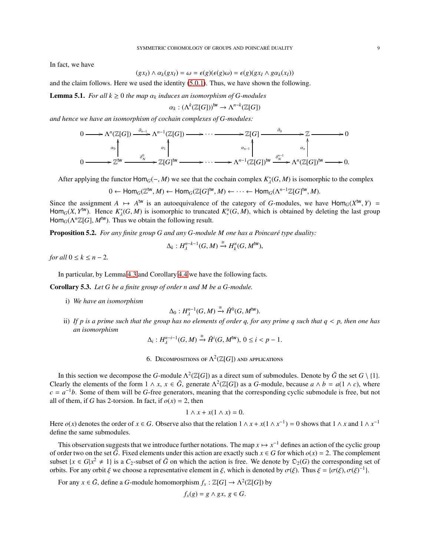In fact, we have

$$
(gx_I) \wedge \alpha_k(gx_I) = \omega = \epsilon(g)(\epsilon(g)\omega) = \epsilon(g)(gx_I \wedge g\alpha_k(x_I))
$$

and the claim follows. Here we used the identity [\(5.0.1\)](#page-7-2). Thus, we have shown the following.

**Lemma 5.1.** *For all*  $k \geq 0$  *the map*  $\alpha_k$  *induces an isomorphism of G-modules* 

$$
\alpha_k: (\Lambda^k(\mathbb{Z}[G]))^{\mathrm{tw}} \to \Lambda^{n-k}(\mathbb{Z}[G])
$$

*and hence we have an isomorphism of cochain complexes of G-modules:*

$$
0 \longrightarrow \Lambda^{n}(\mathbb{Z}[G]) \xrightarrow{\partial_{n-1}} \Lambda^{n-1}(\mathbb{Z}[G]) \longrightarrow \cdots \longrightarrow \mathbb{Z}[G] \xrightarrow{\partial_{0}} \mathbb{Z} \longrightarrow 0
$$
  
\n
$$
\alpha_{0} \downarrow \qquad \qquad \alpha_{1} \downarrow \qquad \qquad \alpha_{n-1} \downarrow \qquad \qquad \alpha_{n} \downarrow
$$
  
\n
$$
0 \longrightarrow \mathbb{Z}^{W} \xrightarrow{\delta^{0}_{N}} \mathbb{Z}[G]^{W} \longrightarrow \cdots \longrightarrow \Lambda^{n-1}(\mathbb{Z}[G])^{W} \xrightarrow{\delta^{n-1}_{N}} \Lambda^{n}(\mathbb{Z}[G])^{W} \longrightarrow 0.
$$

After applying the functor  $Hom_G(-, M)$  we see that the cochain complex  $K^*_\lambda(G, M)$  is isomorphic to the complex

$$
0 \leftarrow \text{Hom}_G(\mathbb{Z}^{\text{tw}}, M) \leftarrow \text{Hom}_G(\mathbb{Z}[G]^{\text{tw}}, M) \leftarrow \cdots \leftarrow \text{Hom}_G(\Lambda^{n-1}\mathbb{Z}[G]^{\text{tw}}, M).
$$

Since the assignment  $A \mapsto A^{\text{tw}}$  is an autoequivalence of the category of *G*-modules, we have  $\text{Hom}_G(X^{\text{tw}}, Y) =$ Hom<sub>*G*</sub>(*X*,  $Y^{\text{tw}}$ ). Hence  $K^*_{\lambda}(G, M)$  is isomorphic to truncated  $K^*_{*}(G, M)$ , which is obtained by deleting the last group Hom<sub>*G*</sub>( $\Lambda^n \mathbb{Z}[G]$ ,  $M^{\text{tw}}$ ). Thus we obtain the following result.

<span id="page-8-0"></span>**Proposition 5.2.** *For any finite group G and any G-module M one has a Poincaré type duality:* 

$$
\Delta_k: H^{n-k-1}_\lambda(G,M)\xrightarrow{\cong} H_k^\varkappa(G,M^{\mathsf{tw}}),
$$

*for all*  $0 \leq k \leq n-2$ .

In particular, by Lemma 4.3 and Corollary [4.4](#page-7-3) we have the following facts.

Corollary 5.3. *Let G be a finite group of order n and M be a G-module.*

i) *We have an isomorphism*

$$
\Delta_0: H^{n-1}_\lambda(G, M) \xrightarrow{\cong} \hat{H}^0(G, M^{\text{tw}}).
$$

ii) *If p is a prime such that the group has no elements of order q, for any prime q such that q* < *p, then one has an isomorphism*

 $\Delta_i: H^{n-i-1}_\lambda(G, M) \stackrel{\cong}{\rightarrow} \hat{H}^i(G, M^{\text{tw}}), 0 \leq i < p-1.$ 

6. Decompositions of  $\Lambda^2(\mathbb{Z}[G])$  and applications

In this section we decompose the *G*-module  $\Lambda^2(\mathbb{Z}[G])$  as a direct sum of submodules. Denote by  $\bar{G}$  the set  $G \setminus \{1\}$ . Clearly the elements of the form  $1 \wedge x$ ,  $x \in \overline{G}$ , generate  $\Lambda^2(\mathbb{Z}[G])$  as a *G*-module, because  $a \wedge b = a(1 \wedge c)$ , where  $c = a^{-1}b$ . Some of them will be *G*-free generators, meaning that the corresponding cyclic submodule is free, but not all of them, if *G* has 2-torsion. In fact, if  $o(x) = 2$ , then

$$
1 \wedge x + x(1 \wedge x) = 0.
$$

Here  $o(x)$  denotes the order of  $x \in G$ . Observe also that the relation  $1 \wedge x + x(1 \wedge x^{-1}) = 0$  shows that  $1 \wedge x$  and  $1 \wedge x^{-1}$ define the same submodules.

This observation suggests that we introduce further notations. The map  $x \mapsto x^{-1}$  defines an action of the cyclic group of order two on the set  $\overline{G}$ . Fixed elements under this action are exactly such  $x \in G$  for which  $o(x) = 2$ . The complement subset  $\{x \in G | x^2 \neq 1\}$  is a  $C_2$ -subset of  $\bar{G}$  on which the action is free. We denote by  $\mathfrak{D}_2(G)$  the corresponding set of orbits. For any orbit  $\xi$  we choose a representative element in  $\xi$ , which is denoted by  $\sigma(\xi)$ . Thus  $\xi = {\{\sigma(\xi), \sigma(\xi)^{-1}\}}$ .

For any  $x \in \overline{G}$ , define a *G*-module homomorphism  $f_x : \mathbb{Z}[G] \to \Lambda^2(\mathbb{Z}[G])$  by

$$
f_x(g) = g \wedge gx, \ g \in G.
$$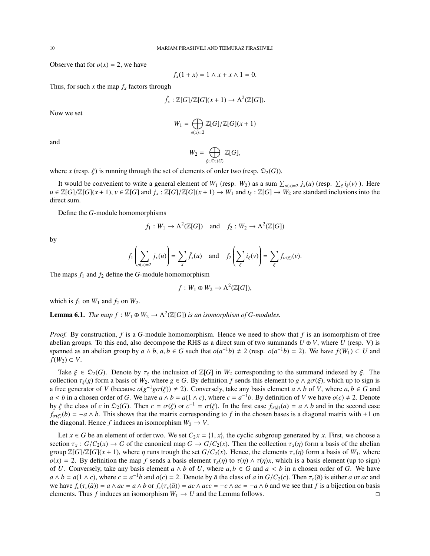Observe that for  $o(x) = 2$ , we have

$$
f_x(1 + x) = 1 \land x + x \land 1 = 0.
$$

Thus, for such *x* the map  $f_x$  factors through

$$
\hat{f}_x: \mathbb{Z}[G]/\mathbb{Z}[G](x+1) \to \Lambda^2(\mathbb{Z}[G]).
$$

Now we set

$$
W_1=\bigoplus_{o(x)=2}\mathbb{Z}[G]/\mathbb{Z}[G](x+1)
$$

and

$$
W_2=\bigoplus_{\xi\in\mathfrak{D}_2(G)}\mathbb{Z}[G],
$$

where *x* (resp.  $\xi$ ) is running through the set of elements of order two (resp.  $\mathfrak{D}_2(G)$ ).

It would be convenient to write a general element of  $W_1$  (resp.  $W_2$ ) as a sum  $\sum_{o(x)=2} j_x(u)$  (resp.  $\sum_{\xi} i_{\xi}(v)$ ). Here  $u \in \mathbb{Z}[G]/\mathbb{Z}[G](x+1)$ ,  $v \in \mathbb{Z}[G]$  and  $j_x : \mathbb{Z}[G]/\mathbb{Z}[G](x+1) \to W_1$  and  $i_{\xi} : \mathbb{Z}[G] \to W_2$  are standard inclusions into the direct sum.

Define the *G*-module homomorphisms

$$
f_1: W_1 \to \Lambda^2(\mathbb{Z}[G])
$$
 and  $f_2: W_2 \to \Lambda^2(\mathbb{Z}[G])$ 

by

$$
f_1\left(\sum_{\sigma(x)=2} j_x(u)\right) = \sum_x \hat{f}_x(u) \text{ and } f_2\left(\sum_{\xi} i_{\xi}(v)\right) = \sum_{\xi} f_{\sigma(\xi)}(v).
$$

The maps  $f_1$  and  $f_2$  define the *G*-module homomorphism

$$
f: W_1 \oplus W_2 \to \Lambda^2(\mathbb{Z}[G]),
$$

which is  $f_1$  on  $W_1$  and  $f_2$  on  $W_2$ .

**Lemma 6.1.** *The map*  $f : W_1 \oplus W_2 \to \Lambda^2(\mathbb{Z}[G])$  *is an isomorphism of G-modules.* 

*Proof.* By construction, *f* is a *G*-module homomorphism. Hence we need to show that *f* is an isomorphism of free abelian groups. To this end, also decompose the RHS as a direct sum of two summands  $U \oplus V$ , where  $U$  (resp. V) is spanned as an abelian group by  $a \wedge b$ ,  $a, b \in G$  such that  $o(a^{-1}b) \neq 2$  (resp.  $o(a^{-1}b) = 2$ ). We have  $f(W_1) \subset U$  and *f*( $W_2$ ) ⊂ *V*.

Take  $\xi \in \mathfrak{D}_2(G)$ . Denote by  $\tau_{\xi}$  the inclusion of  $\mathbb{Z}[G]$  in  $W_2$  corresponding to the summand indexed by  $\xi$ . The collection  $\tau_{\xi}(g)$  form a basis of  $W_2$ , where  $g \in G$ . By definition f sends this element to  $g \wedge g \sigma(\xi)$ , which up to sign is a free generator of *V* (because  $o(g^{-1}g\sigma(\xi)) \neq 2$ ). Conversely, take any basis element  $a \wedge b$  of *V*, where  $a, b \in G$  and *a* < *b* in a chosen order of *G*. We have *a* ∧ *b* = *a*(1 ∧ *c*), where  $c = a^{-1}b$ . By definition of *V* we have  $o(c) \neq 2$ . Denote by  $\xi$  the class of *c* in  $\mathfrak{D}_2(G)$ . Then  $c = \sigma(\xi)$  or  $c^{-1} = \sigma(\xi)$ . In the first case  $f_{\sigma(\xi)}(a) = a \wedge b$  and in the second case  $f_{\sigma(\xi)}(b) = -a \wedge b$ . This shows that the matrix corresponding to *f* in the chosen bases is a diagonal matrix with  $\pm 1$  on the diagonal. Hence *f* induces an isomorphism  $W_2 \rightarrow V$ .

Let  $x \in G$  be an element of order two. We set  $C_2 x = \{1, x\}$ , the cyclic subgroup generated by *x*. First, we choose a section  $\tau_x$ :  $G/C_2(x) \to G$  of the canonical map  $G \to G/C_2(x)$ . Then the collection  $\tau_x(\eta)$  form a basis of the abelian group  $\mathbb{Z}[G]/\mathbb{Z}[G](x+1)$ , where  $\eta$  runs trough the set  $G/C_2(x)$ . Hence, the elements  $\tau_x(\eta)$  form a basis of  $W_1$ , where *o*(*x*) = 2. By definition the map *f* sends a basis element  $\tau_x(\eta)$  to  $\tau(\eta) \wedge \tau(\eta)x$ , which is a basis element (up to sign) of *U*. Conversely, take any basis element  $a \wedge b$  of *U*, where  $a, b \in G$  and  $a < b$  in a chosen order of *G*. We have  $a \wedge b = a(1 \wedge c)$ , where  $c = a^{-1}b$  and  $o(c) = 2$ . Denote by  $\bar{a}$  the class of  $a$  in  $G/C_2(c)$ . Then  $\tau_c(\bar{a})$  is either  $a$  or  $ac$  and we have  $f_c(\tau_c(\bar{a})) = a \wedge ac = a \wedge b$  or  $f_c(\tau_c(\bar{a})) = ac \wedge acc = -c \wedge ac = -a \wedge b$  and we see that f is a bijection on basis elements. Thus *f* induces an isomorphism  $W_1 \rightarrow U$  and the Lemma follows.  $□$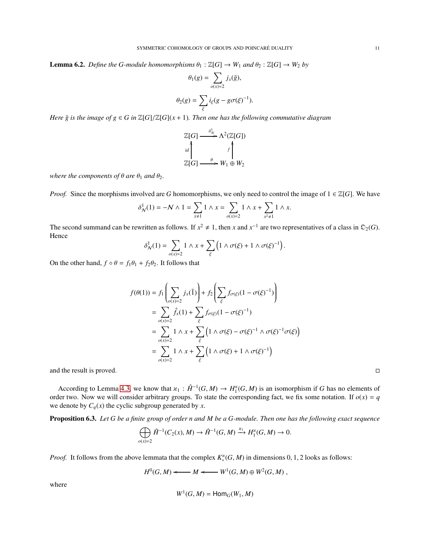**Lemma 6.2.** *Define the G-module homomorphisms*  $\theta_1 : \mathbb{Z}[G] \to W_1$  *and*  $\theta_2 : \mathbb{Z}[G] \to W_2$  *by* 

$$
\theta_1(g) = \sum_{o(x)=2} j_x(\bar{g}),
$$
  

$$
\theta_2(g) = \sum_{\xi} i_{\xi}(g - g\sigma(\xi)^{-1}).
$$

*Here*  $\bar{g}$  *is the image of g*  $\in$  *G in*  $\mathbb{Z}[G]/\mathbb{Z}[G](x + 1)$ *. Then one has the following commutative diagram* 



*where the components of*  $\theta$  *are*  $\theta_1$  *and*  $\theta_2$ *.* 

*Proof.* Since the morphisms involved are *G* homomorphisms, we only need to control the image of  $1 \in \mathbb{Z}[G]$ . We have

$$
\delta_N^1(1) = -N \wedge 1 = \sum_{x \neq 1} 1 \wedge x = \sum_{o(x)=2} 1 \wedge x + \sum_{x^2 \neq 1} 1 \wedge x.
$$

The second summand can be rewritten as follows. If  $x^2 \neq 1$ , then *x* and  $x^{-1}$  are two representatives of a class in  $\mathcal{D}_2(G)$ . Hence

$$
\delta^1_N(1) = \sum_{o(x)=2} 1 \wedge x + \sum_{\xi} \left( 1 \wedge \sigma(\xi) + 1 \wedge \sigma(\xi)^{-1} \right).
$$

On the other hand,  $f \circ \theta = f_1 \theta_1 + f_2 \theta_2$ . It follows that

$$
f(\theta(1)) = f_1\left(\sum_{\sigma(x)=2} j_x(\overline{1})\right) + f_2\left(\sum_{\xi} f_{\sigma(\xi)}(1 - \sigma(\xi)^{-1})\right)
$$
  
= 
$$
\sum_{\sigma(x)=2} \hat{f}_x(1) + \sum_{\xi} f_{\sigma(\xi)}(1 - \sigma(\xi)^{-1})
$$
  
= 
$$
\sum_{\sigma(x)=2} 1 \wedge x + \sum_{\xi} \left(1 \wedge \sigma(\xi) - \sigma(\xi)^{-1} \wedge \sigma(\xi)^{-1} \sigma(\xi)\right)
$$
  
= 
$$
\sum_{\sigma(x)=2} 1 \wedge x + \sum_{\xi} \left(1 \wedge \sigma(\xi) + 1 \wedge \sigma(\xi)^{-1}\right)
$$

and the result is proved.

According to Lemma 4.3, we know that  $\varkappa_1 : \hat{H}^{-1}(G, M) \to H_1^{\varkappa}$  $\binom{1}{1}(G, M)$  is an isomorphism if *G* has no elements of order two. Now we will consider arbitrary groups. To state the corresponding fact, we fix some notation. If  $o(x) = q$ we denote by  $C_q(x)$  the cyclic subgroup generated by *x*.

<span id="page-10-0"></span>Proposition 6.3. *Let G be a finite group of order n and M be a G-module. Then one has the following exact sequence*

$$
\bigoplus_{o(x)=2}\hat{H}^{-1}(C_2(x),M)\to \hat{H}^{-1}(G,M)\xrightarrow{\varkappa_1} H_1^{\varkappa}(G,M)\to 0.
$$

*Proof.* It follows from the above lemmata that the complex  $K_*^{\times}(G, M)$  in dimensions 0, 1, 2 looks as follows:

$$
H^0(G,M) \longleftarrow M \longleftarrow W^1(G,M) \oplus W^2(G,M) ,
$$

where

$$
W^1(G,M) = \mathsf{Hom}_G(W_1,M)
$$